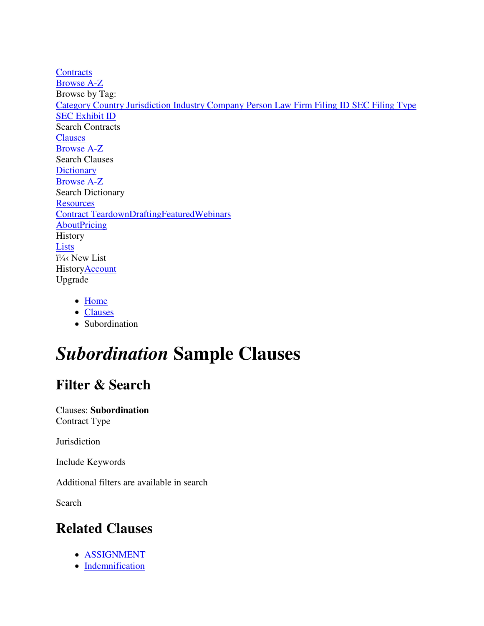**Contracts** Browse A-Z Browse by Tag: Category Country Jurisdiction Industry Company Person Law Firm Filing ID SEC Filing Type SEC Exhibit ID Search Contracts Clauses Browse A-Z Search Clauses **Dictionary** Browse A-Z Search Dictionary **Resources** Contract TeardownDraftingFeaturedWebinars **AboutPricing** History Lists i¼ New List HistoryAccount Upgrade

- [Home](https://www.lawinsider.com/)
- [Clauses](https://www.lawinsider.com/clauses)
- Subordination

# *Subordination* **Sample Clauses**

# **Filter & Search**

Clauses: **Subordination** Contract Type

Jurisdiction

Include Keywords

Additional filters are available in search

Search

## **Related Clauses**

- ASSIGNMENT
- Indemnification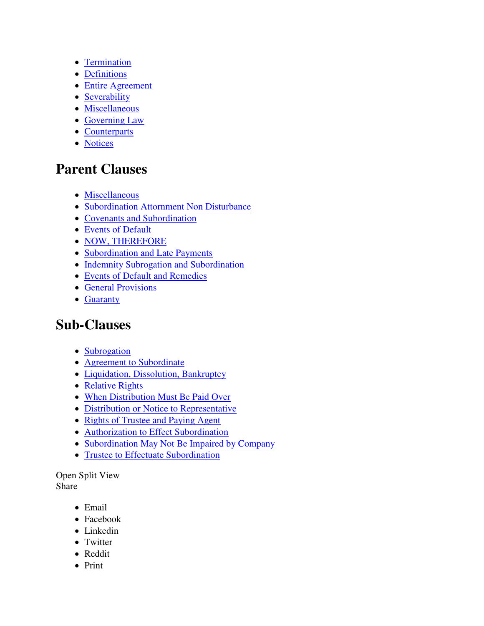- Termination
- Definitions
- Entire Agreement
- Severability
- Miscellaneous
- Governing Law
- Counterparts
- Notices

### **Parent Clauses**

- Miscellaneous
- Subordination Attornment Non Disturbance
- Covenants and Subordination
- Events of Default
- NOW, THEREFORE
- Subordination and Late Payments
- Indemnity Subrogation and Subordination
- Events of Default and Remedies
- General Provisions
- Guaranty

### **Sub-Clauses**

- Subrogation
- Agreement to Subordinate
- Liquidation, Dissolution, Bankruptcy
- Relative Rights
- When Distribution Must Be Paid Over
- Distribution or Notice to Representative
- Rights of Trustee and Paying Agent
- Authorization to Effect Subordination
- Subordination May Not Be Impaired by Company
- Trustee to Effectuate Subordination

Open Split View Share

- Email
- Facebook
- Linkedin
- Twitter
- Reddit
- Print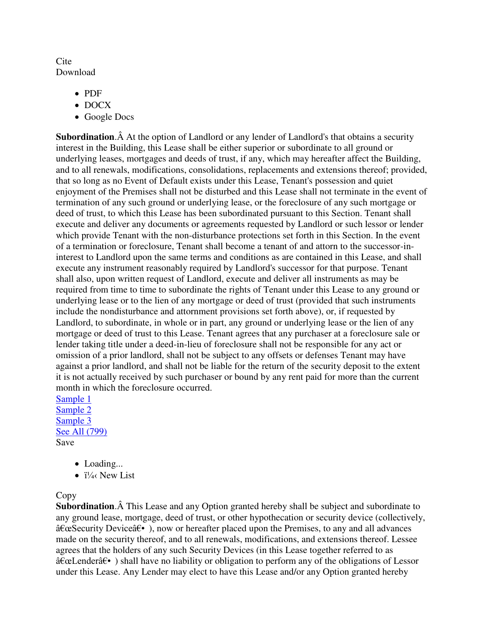**Cite** Download

- PDF
- DOCX
- Google Docs

**Subordination**. A At the option of Landlord or any lender of Landlord's that obtains a security interest in the Building, this Lease shall be either superior or subordinate to all ground or underlying leases, mortgages and deeds of trust, if any, which may hereafter affect the Building, and to all renewals, modifications, consolidations, replacements and extensions thereof; provided, that so long as no Event of Default exists under this Lease, Tenant's possession and quiet enjoyment of the Premises shall not be disturbed and this Lease shall not terminate in the event of termination of any such ground or underlying lease, or the foreclosure of any such mortgage or deed of trust, to which this Lease has been subordinated pursuant to this Section. Tenant shall execute and deliver any documents or agreements requested by Landlord or such lessor or lender which provide Tenant with the non-disturbance protections set forth in this Section. In the event of a termination or foreclosure, Tenant shall become a tenant of and attorn to the successor-ininterest to Landlord upon the same terms and conditions as are contained in this Lease, and shall execute any instrument reasonably required by Landlord's successor for that purpose. Tenant shall also, upon written request of Landlord, execute and deliver all instruments as may be required from time to time to subordinate the rights of Tenant under this Lease to any ground or underlying lease or to the lien of any mortgage or deed of trust (provided that such instruments include the nondisturbance and attornment provisions set forth above), or, if requested by Landlord, to subordinate, in whole or in part, any ground or underlying lease or the lien of any mortgage or deed of trust to this Lease. Tenant agrees that any purchaser at a foreclosure sale or lender taking title under a deed-in-lieu of foreclosure shall not be responsible for any act or omission of a prior landlord, shall not be subject to any offsets or defenses Tenant may have against a prior landlord, and shall not be liable for the return of the security deposit to the extent it is not actually received by such purchaser or bound by any rent paid for more than the current month in which the foreclosure occurred.

Sample 1 Sample 2 Sample 3 See All (799) Save

- Loading...
- $\bullet$  i<sup>1</sup>/<sub>4</sub> New List

Copy

**Subordination.** A This Lease and any Option granted hereby shall be subject and subordinate to any ground lease, mortgage, deed of trust, or other hypothecation or security device (collectively, "Security Device―), now or hereafter placed upon the Premises, to any and all advances made on the security thereof, and to all renewals, modifications, and extensions thereof. Lessee agrees that the holders of any such Security Devices (in this Lease together referred to as "Lender―) shall have no liability or obligation to perform any of the obligations of Lessor under this Lease. Any Lender may elect to have this Lease and/or any Option granted hereby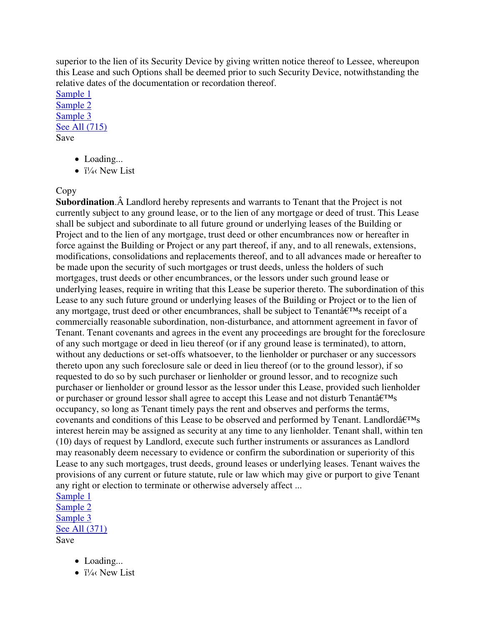superior to the lien of its Security Device by giving written notice thereof to Lessee, whereupon this Lease and such Options shall be deemed prior to such Security Device, notwithstanding the relative dates of the documentation or recordation thereof.

Sample 1 Sample 2 Sample 3 See All (715) Save

- Loading...
- $\bullet$  i<sup>1</sup>/<sub>4</sub> New List

#### Copy

**Subordination.** A Landlord hereby represents and warrants to Tenant that the Project is not currently subject to any ground lease, or to the lien of any mortgage or deed of trust. This Lease shall be subject and subordinate to all future ground or underlying leases of the Building or Project and to the lien of any mortgage, trust deed or other encumbrances now or hereafter in force against the Building or Project or any part thereof, if any, and to all renewals, extensions, modifications, consolidations and replacements thereof, and to all advances made or hereafter to be made upon the security of such mortgages or trust deeds, unless the holders of such mortgages, trust deeds or other encumbrances, or the lessors under such ground lease or underlying leases, require in writing that this Lease be superior thereto. The subordination of this Lease to any such future ground or underlying leases of the Building or Project or to the lien of any mortgage, trust deed or other encumbrances, shall be subject to Tenant $\hat{a} \in \mathbb{R}^N$ s receipt of a commercially reasonable subordination, non-disturbance, and attornment agreement in favor of Tenant. Tenant covenants and agrees in the event any proceedings are brought for the foreclosure of any such mortgage or deed in lieu thereof (or if any ground lease is terminated), to attorn, without any deductions or set-offs whatsoever, to the lienholder or purchaser or any successors thereto upon any such foreclosure sale or deed in lieu thereof (or to the ground lessor), if so requested to do so by such purchaser or lienholder or ground lessor, and to recognize such purchaser or lienholder or ground lessor as the lessor under this Lease, provided such lienholder or purchaser or ground lessor shall agree to accept this Lease and not disturb Tenant $\hat{a} \in T^{M}$ s occupancy, so long as Tenant timely pays the rent and observes and performs the terms, covenants and conditions of this Lease to be observed and performed by Tenant. Landlord $\hat{a} \in T^{M}$ s interest herein may be assigned as security at any time to any lienholder. Tenant shall, within ten (10) days of request by Landlord, execute such further instruments or assurances as Landlord may reasonably deem necessary to evidence or confirm the subordination or superiority of this Lease to any such mortgages, trust deeds, ground leases or underlying leases. Tenant waives the provisions of any current or future statute, rule or law which may give or purport to give Tenant any right or election to terminate or otherwise adversely affect ...

Sample 1 Sample 2 Sample 3 See All (371) Save

- Loading...
- $\bullet$  i<sup>1</sup>/<sub>4</sub> New List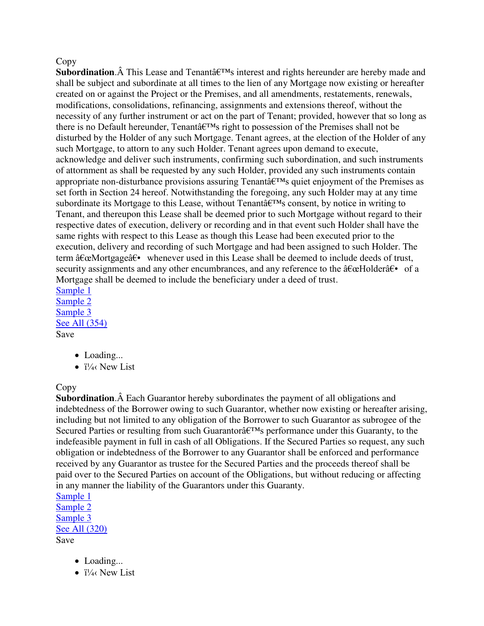#### Copy

**Subordination.** A This Lease and Tenanta $f(x)$  interest and rights hereunder are hereby made and shall be subject and subordinate at all times to the lien of any Mortgage now existing or hereafter created on or against the Project or the Premises, and all amendments, restatements, renewals, modifications, consolidations, refinancing, assignments and extensions thereof, without the necessity of any further instrument or act on the part of Tenant; provided, however that so long as there is no Default hereunder, Tenanta $f^{\text{TM}}$ s right to possession of the Premises shall not be disturbed by the Holder of any such Mortgage. Tenant agrees, at the election of the Holder of any such Mortgage, to attorn to any such Holder. Tenant agrees upon demand to execute, acknowledge and deliver such instruments, confirming such subordination, and such instruments of attornment as shall be requested by any such Holder, provided any such instruments contain appropriate non-disturbance provisions assuring Tenant $\hat{a} \in \mathbb{R}^N$  quiet enjoyment of the Premises as set forth in Section 24 hereof. Notwithstanding the foregoing, any such Holder may at any time subordinate its Mortgage to this Lease, without Tenanta  $f^{\text{TM}}$ s consent, by notice in writing to Tenant, and thereupon this Lease shall be deemed prior to such Mortgage without regard to their respective dates of execution, delivery or recording and in that event such Holder shall have the same rights with respect to this Lease as though this Lease had been executed prior to the execution, delivery and recording of such Mortgage and had been assigned to such Holder. The term  $\hat{a} \in \mathbb{R}^{\bullet}$  whenever used in this Lease shall be deemed to include deeds of trust, security assignments and any other encumbrances, and any reference to the  $â€æHolder―$  of a Mortgage shall be deemed to include the beneficiary under a deed of trust.

Sample 1 Sample 2 Sample 3 See All (354) Save

- Loading...
- $\bullet$  i<sup>1</sup>/<sub>4</sub> New List

#### Copy

**Subordination.** A Each Guarantor hereby subordinates the payment of all obligations and indebtedness of the Borrower owing to such Guarantor, whether now existing or hereafter arising, including but not limited to any obligation of the Borrower to such Guarantor as subrogee of the Secured Parties or resulting from such Guarantor $\hat{a} \in T^{M}$ s performance under this Guaranty, to the indefeasible payment in full in cash of all Obligations. If the Secured Parties so request, any such obligation or indebtedness of the Borrower to any Guarantor shall be enforced and performance received by any Guarantor as trustee for the Secured Parties and the proceeds thereof shall be paid over to the Secured Parties on account of the Obligations, but without reducing or affecting in any manner the liability of the Guarantors under this Guaranty.

Sample 1 Sample 2 Sample 3 See All (320) Save

- Loading...
- $\bullet$  i<sup>1</sup>/<sub>4</sub> New List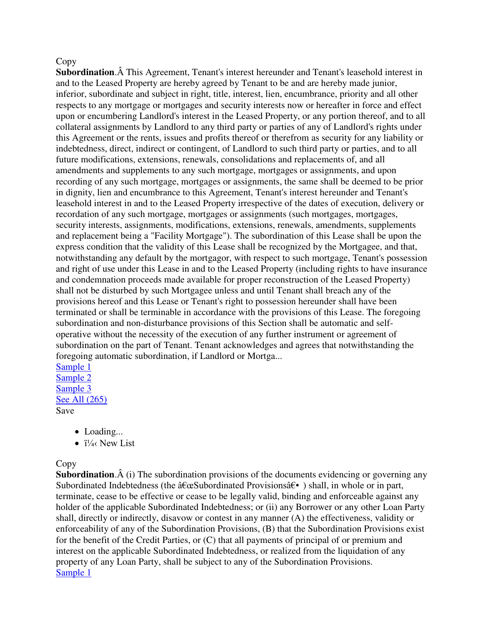#### Copy

**Subordination.** A This Agreement, Tenant's interest hereunder and Tenant's leasehold interest in and to the Leased Property are hereby agreed by Tenant to be and are hereby made junior, inferior, subordinate and subject in right, title, interest, lien, encumbrance, priority and all other respects to any mortgage or mortgages and security interests now or hereafter in force and effect upon or encumbering Landlord's interest in the Leased Property, or any portion thereof, and to all collateral assignments by Landlord to any third party or parties of any of Landlord's rights under this Agreement or the rents, issues and profits thereof or therefrom as security for any liability or indebtedness, direct, indirect or contingent, of Landlord to such third party or parties, and to all future modifications, extensions, renewals, consolidations and replacements of, and all amendments and supplements to any such mortgage, mortgages or assignments, and upon recording of any such mortgage, mortgages or assignments, the same shall be deemed to be prior in dignity, lien and encumbrance to this Agreement, Tenant's interest hereunder and Tenant's leasehold interest in and to the Leased Property irrespective of the dates of execution, delivery or recordation of any such mortgage, mortgages or assignments (such mortgages, mortgages, security interests, assignments, modifications, extensions, renewals, amendments, supplements and replacement being a "Facility Mortgage"). The subordination of this Lease shall be upon the express condition that the validity of this Lease shall be recognized by the Mortgagee, and that, notwithstanding any default by the mortgagor, with respect to such mortgage, Tenant's possession and right of use under this Lease in and to the Leased Property (including rights to have insurance and condemnation proceeds made available for proper reconstruction of the Leased Property) shall not be disturbed by such Mortgagee unless and until Tenant shall breach any of the provisions hereof and this Lease or Tenant's right to possession hereunder shall have been terminated or shall be terminable in accordance with the provisions of this Lease. The foregoing subordination and non-disturbance provisions of this Section shall be automatic and selfoperative without the necessity of the execution of any further instrument or agreement of subordination on the part of Tenant. Tenant acknowledges and agrees that notwithstanding the foregoing automatic subordination, if Landlord or Mortga...

Sample 1 Sample 2 Sample 3 See All (265) Save

- Loading...
- $\bullet$  i<sup>1</sup>/<sub>4</sub> New List

#### Copy

**Subordination.**  $\hat{A}$  (i) The subordination provisions of the documents evidencing or governing any Subordinated Indebtedness (the  $\hat{a} \in \mathcal{S}$ ubordinated Provisions $\hat{a} \in \mathcal{S}$ ) shall, in whole or in part, terminate, cease to be effective or cease to be legally valid, binding and enforceable against any holder of the applicable Subordinated Indebtedness; or (ii) any Borrower or any other Loan Party shall, directly or indirectly, disavow or contest in any manner (A) the effectiveness, validity or enforceability of any of the Subordination Provisions, (B) that the Subordination Provisions exist for the benefit of the Credit Parties, or (C) that all payments of principal of or premium and interest on the applicable Subordinated Indebtedness, or realized from the liquidation of any property of any Loan Party, shall be subject to any of the Subordination Provisions. Sample 1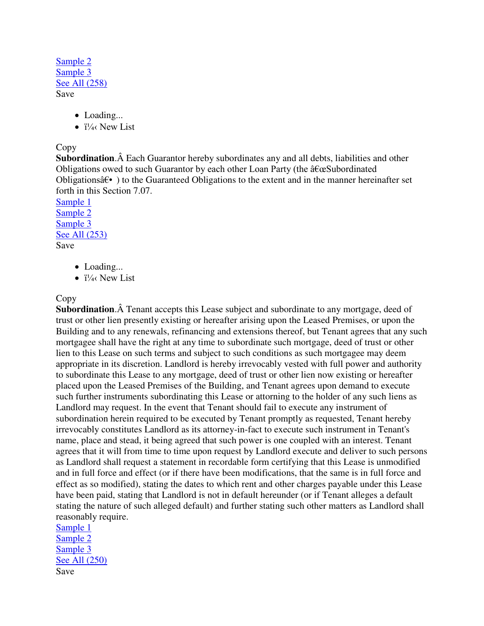Sample 2 Sample 3 See All (258) Save

- Loading...
- $\bullet$  i<sup>1</sup>/<sub>4</sub> New List

#### Copy

**Subordination**. A Each Guarantor hereby subordinates any and all debts, liabilities and other Obligations owed to such Guarantor by each other Loan Party (the  $\hat{a} \in \mathcal{S}$ ubordinated Obligationsâ€• ) to the Guaranteed Obligations to the extent and in the manner hereinafter set forth in this Section 7.07.

Sample 1 Sample 2 Sample 3 See All (253) Save

- Loading...
- $\bullet$  i<sup>1</sup>/<sub>4</sub> New List

#### Copy

**Subordination.** A Tenant accepts this Lease subject and subordinate to any mortgage, deed of trust or other lien presently existing or hereafter arising upon the Leased Premises, or upon the Building and to any renewals, refinancing and extensions thereof, but Tenant agrees that any such mortgagee shall have the right at any time to subordinate such mortgage, deed of trust or other lien to this Lease on such terms and subject to such conditions as such mortgagee may deem appropriate in its discretion. Landlord is hereby irrevocably vested with full power and authority to subordinate this Lease to any mortgage, deed of trust or other lien now existing or hereafter placed upon the Leased Premises of the Building, and Tenant agrees upon demand to execute such further instruments subordinating this Lease or attorning to the holder of any such liens as Landlord may request. In the event that Tenant should fail to execute any instrument of subordination herein required to be executed by Tenant promptly as requested, Tenant hereby irrevocably constitutes Landlord as its attorney-in-fact to execute such instrument in Tenant's name, place and stead, it being agreed that such power is one coupled with an interest. Tenant agrees that it will from time to time upon request by Landlord execute and deliver to such persons as Landlord shall request a statement in recordable form certifying that this Lease is unmodified and in full force and effect (or if there have been modifications, that the same is in full force and effect as so modified), stating the dates to which rent and other charges payable under this Lease have been paid, stating that Landlord is not in default hereunder (or if Tenant alleges a default stating the nature of such alleged default) and further stating such other matters as Landlord shall reasonably require.

Sample 1 Sample 2 Sample 3 See All (250) Save